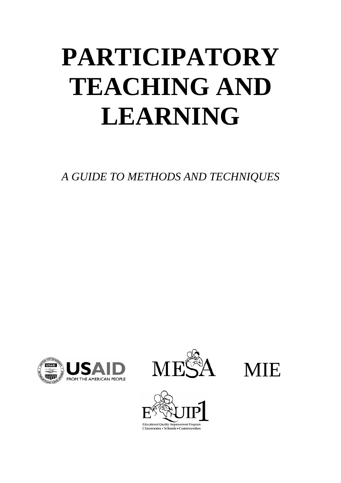# **PARTICIPATORY TEACHING AND LEARNING**

*A GUIDE TO METHODS AND TECHNIQUES*







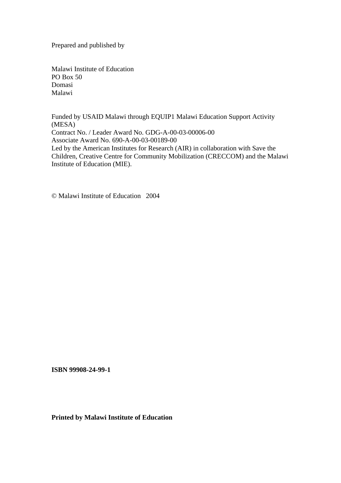Prepared and published by

Malawi Institute of Education PO Box 50 Domasi Malawi

Funded by USAID Malawi through EQUIP1 Malawi Education Support Activity (MESA) Contract No. / Leader Award No. GDG-A-00-03-00006-00 Associate Award No. 690-A-00-03-00189-00 Led by the American Institutes for Research (AIR) in collaboration with Save the Children, Creative Centre for Community Mobilization (CRECCOM) and the Malawi Institute of Education (MIE).

© Malawi Institute of Education 2004

**ISBN 99908-24-99-1** 

**Printed by Malawi Institute of Education**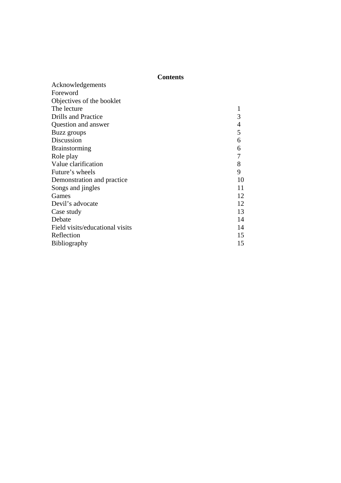## **Contents**

| Foreword                        |                |
|---------------------------------|----------------|
| Objectives of the booklet       |                |
| The lecture                     |                |
| <b>Drills and Practice</b>      | 3              |
| Question and answer             | $\overline{4}$ |
| Buzz groups                     | 5              |
| Discussion                      | 6              |
| <b>Brainstorming</b>            | 6              |
| Role play                       | 7              |
| Value clarification             | 8              |
| Future's wheels                 | 9              |
| Demonstration and practice      | 10             |
| Songs and <i>jingles</i>        | 11             |
| Games                           | 12             |
| Devil's advocate                | 12             |
| Case study                      | 13             |
| Debate                          | 14             |
| Field visits/educational visits | 14             |
| Reflection                      | 15             |
| Bibliography                    | 15             |
|                                 |                |

Acknowledgements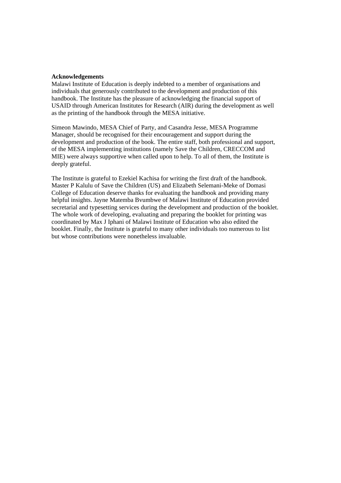#### **Acknowledgements**

Malawi Institute of Education is deeply indebted to a member of organisations and individuals that generously contributed to the development and production of this handbook. The Institute has the pleasure of acknowledging the financial support of USAID through American Institutes for Research (AIR) during the development as well as the printing of the handbook through the MESA initiative.

Simeon Mawindo, MESA Chief of Party, and Casandra Jesse, MESA Programme Manager, should be recognised for their encouragement and support during the development and production of the book. The entire staff, both professional and support, of the MESA implementing institutions (namely Save the Children, CRECCOM and MIE) were always supportive when called upon to help. To all of them, the Institute is deeply grateful.

The Institute is grateful to Ezekiel Kachisa for writing the first draft of the handbook. Master P Kalulu of Save the Children (US) and Elizabeth Selemani-Meke of Domasi College of Education deserve thanks for evaluating the handbook and providing many helpful insights. Jayne Matemba Bvumbwe of Malawi Institute of Education provided secretarial and typesetting services during the development and production of the booklet. The whole work of developing, evaluating and preparing the booklet for printing was coordinated by Max J Iphani of Malawi Institute of Education who also edited the booklet. Finally, the Institute is grateful to many other individuals too numerous to list but whose contributions were nonetheless invaluable.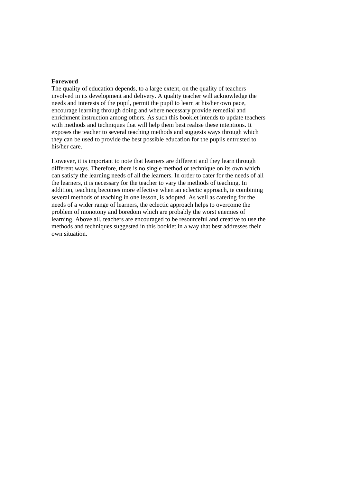#### **Foreword**

The quality of education depends, to a large extent, on the quality of teachers involved in its development and delivery. A quality teacher will acknowledge the needs and interests of the pupil, permit the pupil to learn at his/her own pace, encourage learning through doing and where necessary provide remedial and enrichment instruction among others. As such this booklet intends to update teachers with methods and techniques that will help them best realise these intentions. It exposes the teacher to several teaching methods and suggests ways through which they can be used to provide the best possible education for the pupils entrusted to his/her care.

However, it is important to note that learners are different and they learn through different ways. Therefore, there is no single method or technique on its own which can satisfy the learning needs of all the learners. In order to cater for the needs of all the learners, it is necessary for the teacher to vary the methods of teaching. In addition, teaching becomes more effective when an eclectic approach, ie combining several methods of teaching in one lesson, is adopted. As well as catering for the needs of a wider range of learners, the eclectic approach helps to overcome the problem of monotony and boredom which are probably the worst enemies of learning. Above all, teachers are encouraged to be resourceful and creative to use the methods and techniques suggested in this booklet in a way that best addresses their own situation.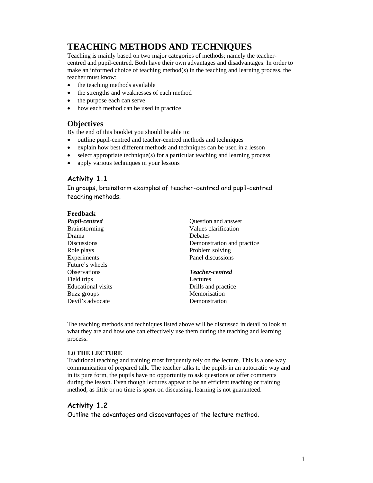## **TEACHING METHODS AND TECHNIQUES**

Teaching is mainly based on two major categories of methods; namely the teachercentred and pupil-centred. Both have their own advantages and disadvantages. In order to make an informed choice of teaching method(s) in the teaching and learning process, the teacher must know:

- the teaching methods available
- the strengths and weaknesses of each method
- the purpose each can serve
- how each method can be used in practice

## **Objectives**

By the end of this booklet you should be able to:

- outline pupil-centred and teacher-centred methods and techniques
- explain how best different methods and techniques can be used in a lesson
- select appropriate technique(s) for a particular teaching and learning process
- apply various techniques in your lessons

## **Activity 1.1**

In groups, brainstorm examples of teacher-centred and pupil-centred teaching methods.

| Feedback                  |                            |
|---------------------------|----------------------------|
| <b>Pupil-centred</b>      | Question and answer        |
| <b>Brainstorming</b>      | Values clarification       |
| Drama                     | <b>Debates</b>             |
| <b>Discussions</b>        | Demonstration and practice |
| Role plays                | Problem solving            |
| Experiments               | Panel discussions          |
| Future's wheels           |                            |
| <b>Observations</b>       | <b>Teacher-centred</b>     |
| Field trips               | Lectures                   |
| <b>Educational visits</b> | Drills and practice        |
| Buzz groups               | Memorisation               |
| Devil's advocate          | Demonstration              |

The teaching methods and techniques listed above will be discussed in detail to look at what they are and how one can effectively use them during the teaching and learning process.

#### **1.0 THE LECTURE**

Traditional teaching and training most frequently rely on the lecture. This is a one way communication of prepared talk. The teacher talks to the pupils in an autocratic way and in its pure form, the pupils have no opportunity to ask questions or offer comments during the lesson. Even though lectures appear to be an efficient teaching or training method, as little or no time is spent on discussing, learning is not guaranteed.

### **Activity 1.2**

Outline the advantages and disadvantages of the lecture method.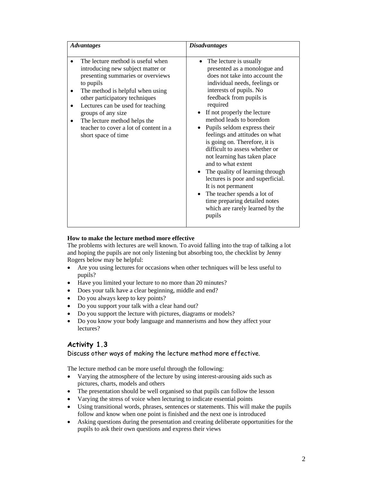| <b>Advantages</b>                                                                                                                                                                                                                                                                                                                                          | <b>Disadvantages</b>                                                                                                                                                                                                                                                                                                                                                                                                                                                                                                                                                                                                                                                                                              |
|------------------------------------------------------------------------------------------------------------------------------------------------------------------------------------------------------------------------------------------------------------------------------------------------------------------------------------------------------------|-------------------------------------------------------------------------------------------------------------------------------------------------------------------------------------------------------------------------------------------------------------------------------------------------------------------------------------------------------------------------------------------------------------------------------------------------------------------------------------------------------------------------------------------------------------------------------------------------------------------------------------------------------------------------------------------------------------------|
| The lecture method is useful when<br>introducing new subject matter or<br>presenting summaries or overviews<br>to pupils<br>The method is helpful when using<br>other participatory techniques<br>Lectures can be used for teaching<br>groups of any size<br>The lecture method helps the<br>teacher to cover a lot of content in a<br>short space of time | The lecture is usually<br>$\bullet$<br>presented as a monologue and<br>does not take into account the<br>individual needs, feelings or<br>interests of pupils. No<br>feedback from pupils is<br>required<br>If not properly the lecture<br>$\bullet$<br>method leads to boredom<br>Pupils seldom express their<br>$\bullet$<br>feelings and attitudes on what<br>is going on. Therefore, it is<br>difficult to assess whether or<br>not learning has taken place<br>and to what extent<br>• The quality of learning through<br>lectures is poor and superficial.<br>It is not permanent<br>The teacher spends a lot of<br>$\bullet$<br>time preparing detailed notes<br>which are rarely learned by the<br>pupils |

#### **How to make the lecture method more effective**

The problems with lectures are well known. To avoid falling into the trap of talking a lot and hoping the pupils are not only listening but absorbing too, the checklist by Jenny Rogers below may be helpful:

- Are you using lectures for occasions when other techniques will be less useful to pupils?
- Have you limited your lecture to no more than 20 minutes?
- Does your talk have a clear beginning, middle and end?
- Do you always keep to key points?
- Do you support your talk with a clear hand out?
- Do you support the lecture with pictures, diagrams or models?
- Do you know your body language and mannerisms and how they affect your lectures?

## **Activity 1.3**

#### Discuss other ways of making the lecture method more effective.

The lecture method can be more useful through the following:

- Varying the atmosphere of the lecture by using interest-arousing aids such as pictures, charts, models and others
- The presentation should be well organised so that pupils can follow the lesson
- Varying the stress of voice when lecturing to indicate essential points
- Using transitional words, phrases, sentences or statements. This will make the pupils follow and know when one point is finished and the next one is introduced
- Asking questions during the presentation and creating deliberate opportunities for the pupils to ask their own questions and express their views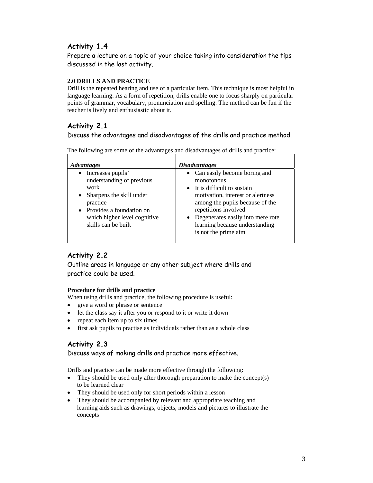## **Activity 1.4**

Prepare a lecture on a topic of your choice taking into consideration the tips discussed in the last activity.

#### **2.0 DRILLS AND PRACTICE**

Drill is the repeated hearing and use of a particular item. This technique is most helpful in language learning. As a form of repetition, drills enable one to focus sharply on particular points of grammar, vocabulary, pronunciation and spelling. The method can be fun if the teacher is lively and enthusiastic about it.

## **Activity 2.1**

Discuss the advantages and disadvantages of the drills and practice method.

| <i><b>Advantages</b></i>                                                                                                                                                            | <i><b>Disadvantages</b></i>                                                                                                                                                                                                                                                              |
|-------------------------------------------------------------------------------------------------------------------------------------------------------------------------------------|------------------------------------------------------------------------------------------------------------------------------------------------------------------------------------------------------------------------------------------------------------------------------------------|
| Increases pupils'<br>understanding of previous<br>work<br>Sharpens the skill under<br>practice<br>• Provides a foundation on<br>which higher level cognitive<br>skills can be built | • Can easily become boring and<br>monotonous<br>• It is difficult to sustain<br>motivation, interest or alertness<br>among the pupils because of the<br>repetitions involved<br>Degenerates easily into mere rote<br>$\bullet$<br>learning because understanding<br>is not the prime aim |

The following are some of the advantages and disadvantages of drills and practice:

## **Activity 2.2**

Outline areas in language or any other subject where drills and practice could be used.

### **Procedure for drills and practice**

When using drills and practice, the following procedure is useful:

- give a word or phrase or sentence
- let the class say it after you or respond to it or write it down
- repeat each item up to six times
- first ask pupils to practise as individuals rather than as a whole class

## **Activity 2.3**

Discuss ways of making drills and practice more effective.

Drills and practice can be made more effective through the following:

- They should be used only after thorough preparation to make the concept(s) to be learned clear
- They should be used only for short periods within a lesson
- They should be accompanied by relevant and appropriate teaching and learning aids such as drawings, objects, models and pictures to illustrate the concepts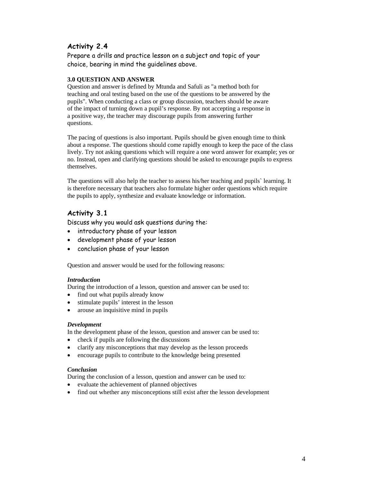## **Activity 2.4**

Prepare a drills and practice lesson on a subject and topic of your choice, bearing in mind the guidelines above.

#### **3.0 QUESTION AND ANSWER**

Question and answer is defined by Mtunda and Safuli as "a method both for teaching and oral testing based on the use of the questions to be answered by the pupils". When conducting a class or group discussion, teachers should be aware of the impact of turning down a pupil's response. By not accepting a response in a positive way, the teacher may discourage pupils from answering further questions.

The pacing of questions is also important. Pupils should be given enough time to think about a response. The questions should come rapidly enough to keep the pace of the class lively. Try not asking questions which will require a one word answer for example; yes or no. Instead, open and clarifying questions should be asked to encourage pupils to express themselves.

The questions will also help the teacher to assess his/her teaching and pupils` learning. It is therefore necessary that teachers also formulate higher order questions which require the pupils to apply, synthesize and evaluate knowledge or information.

## **Activity 3.1**

Discuss why you would ask questions during the:

- introductory phase of your lesson
- development phase of your lesson
- conclusion phase of your lesson

Question and answer would be used for the following reasons:

#### *Introduction*

During the introduction of a lesson, question and answer can be used to:

- find out what pupils already know
- stimulate pupils' interest in the lesson
- arouse an inquisitive mind in pupils

#### *Development*

In the development phase of the lesson, question and answer can be used to:

- check if pupils are following the discussions
- clarify any misconceptions that may develop as the lesson proceeds
- encourage pupils to contribute to the knowledge being presented

#### *Conclusion*

During the conclusion of a lesson, question and answer can be used to:

- evaluate the achievement of planned objectives
- find out whether any misconceptions still exist after the lesson development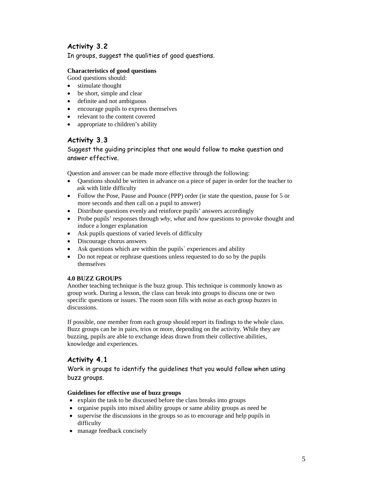## **Activity 3.2**

In groups, suggest the qualities of good questions.

#### **Characteristics of good questions**

- Good questions should:
- stimulate thought
- be short, simple and clear
- definite and not ambiguous
- encourage pupils to express themselves
- relevant to the content covered
- appropriate to children's ability

### **Activity 3.3**

#### Suggest the guiding principles that one would follow to make question and answer effective.

Question and answer can be made more effective through the following:

- Questions should be written in advance on a piece of paper in order for the teacher to ask with little difficulty
- Follow the Pose, Pause and Pounce (PPP) order (ie state the question, pause for 5 or more seconds and then call on a pupil to answer)
- Distribute questions evenly and reinforce pupils' answers accordingly
- Probe pupils' responses through *why*, *what* and *how* questions to provoke thought and induce a longer explanation
- Ask pupils questions of varied levels of difficulty
- Discourage chorus answers
- Ask questions which are within the pupils' experiences and ability
- Do not repeat or rephrase questions unless requested to do so by the pupils themselves

#### **4.0 BUZZ GROUPS**

Another teaching technique is the buzz group. This technique is commonly known as group work. During a lesson, the class can break into groups to discuss one or two specific questions or issues. The room soon fills with noise as each group *buzzes* in discussions.

If possible, one member from each group should report its findings to the whole class. Buzz groups can be in pairs, trios or more, depending on the activity. While they are buzzing, pupils are able to exchange ideas drawn from their collective abilities, knowledge and experiences.

## **Activity 4.1**

Work in groups to identify the guidelines that you would follow when using buzz groups.

#### **Guidelines for effective use of buzz groups**

- explain the task to be discussed before the class breaks into groups
- organise pupils into mixed ability groups or same ability groups as need be
- supervise the discussions in the groups so as to encourage and help pupils in difficulty
- manage feedback concisely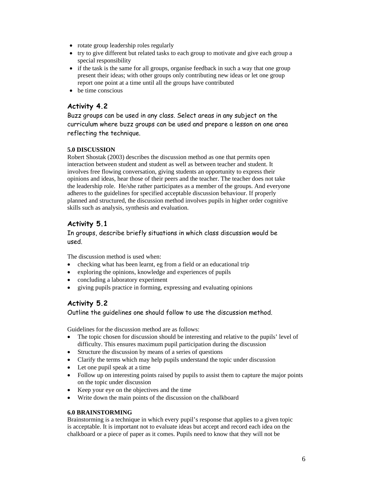- rotate group leadership roles regularly
- try to give different but related tasks to each group to motivate and give each group a special responsibility
- if the task is the same for all groups, organise feedback in such a way that one group present their ideas; with other groups only contributing new ideas or let one group report one point at a time until all the groups have contributed
- be time conscious

## **Activity 4.2**

Buzz groups can be used in any class. Select areas in any subject on the curriculum where buzz groups can be used and prepare a lesson on one area reflecting the technique.

#### **5.0 DISCUSSION**

Robert Shostak (2003) describes the discussion method as one that permits open interaction between student and student as well as between teacher and student. It involves free flowing conversation, giving students an opportunity to express their opinions and ideas, hear those of their peers and the teacher. The teacher does not take the leadership role. He/she rather participates as a member of the groups. And everyone adheres to the guidelines for specified acceptable discussion behaviour. If properly planned and structured, the discussion method involves pupils in higher order cognitive skills such as analysis, synthesis and evaluation.

## **Activity 5.1**

In groups, describe briefly situations in which class discussion would be used.

The discussion method is used when:

- checking what has been learnt, eg from a field or an educational trip
- exploring the opinions, knowledge and experiences of pupils
- concluding a laboratory experiment
- giving pupils practice in forming, expressing and evaluating opinions

## **Activity 5.2**

Outline the guidelines one should follow to use the discussion method.

Guidelines for the discussion method are as follows:

- The topic chosen for discussion should be interesting and relative to the pupils' level of difficulty. This ensures maximum pupil participation during the discussion
- Structure the discussion by means of a series of questions
- Clarify the terms which may help pupils understand the topic under discussion
- Let one pupil speak at a time
- Follow up on interesting points raised by pupils to assist them to capture the major points on the topic under discussion
- Keep your eye on the objectives and the time
- Write down the main points of the discussion on the chalkboard

#### **6.0 BRAINSTORMING**

Brainstorming is a technique in which every pupil's response that applies to a given topic is acceptable. It is important not to evaluate ideas but accept and record each idea on the chalkboard or a piece of paper as it comes. Pupils need to know that they will not be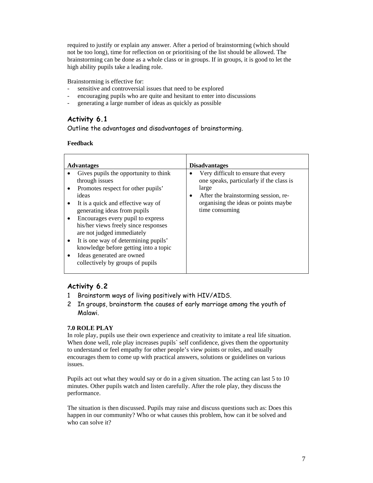required to justify or explain any answer. After a period of brainstorming (which should not be too long), time for reflection on or prioritising of the list should be allowed. The brainstorming can be done as a whole class or in groups. If in groups, it is good to let the high ability pupils take a leading role.

Brainstorming is effective for:

- sensitive and controversial issues that need to be explored
- encouraging pupils who are quite and hesitant to enter into discussions
- generating a large number of ideas as quickly as possible

## **Activity 6.1**

Outline the advantages and disadvantages of brainstorming.

#### **Feedback**

|   | <b>Advantages</b>                     |           | <b>Disadvantages</b>                     |
|---|---------------------------------------|-----------|------------------------------------------|
|   | Gives pupils the opportunity to think |           | Very difficult to ensure that every      |
|   | through issues                        |           | one speaks, particularly if the class is |
|   | Promotes respect for other pupils'    |           | large                                    |
|   | ideas                                 | $\bullet$ | After the brainstorming session, re-     |
|   | It is a quick and effective way of    |           | organising the ideas or points maybe     |
|   | generating ideas from pupils          |           | time consuming                           |
| ٠ | Encourages every pupil to express     |           |                                          |
|   | his/her views freely since responses  |           |                                          |
|   | are not judged immediately            |           |                                          |
| ٠ | It is one way of determining pupils'  |           |                                          |
|   | knowledge before getting into a topic |           |                                          |
|   | Ideas generated are owned             |           |                                          |
|   | collectively by groups of pupils      |           |                                          |
|   |                                       |           |                                          |

### **Activity 6.2**

- 1 Brainstorm ways of living positively with HIV/AIDS.
- 2 In groups, brainstorm the causes of early marriage among the youth of Malawi.

#### **7.0 ROLE PLAY**

In role play, pupils use their own experience and creativity to imitate a real life situation. When done well, role play increases pupils` self confidence, gives them the opportunity to understand or feel empathy for other people's view points or roles, and usually encourages them to come up with practical answers, solutions or guidelines on various issues.

Pupils act out what they would say or do in a given situation. The acting can last 5 to 10 minutes. Other pupils watch and listen carefully. After the role play, they discuss the performance.

The situation is then discussed. Pupils may raise and discuss questions such as: Does this happen in our community? Who or what causes this problem, how can it be solved and who can solve it?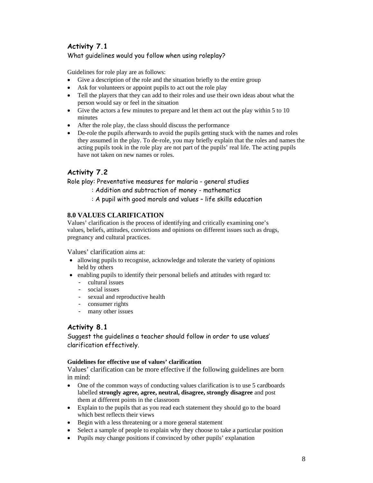## **Activity 7.1**

#### What guidelines would you follow when using roleplay?

Guidelines for role play are as follows:

- Give a description of the role and the situation briefly to the entire group
- Ask for volunteers or appoint pupils to act out the role play
- Tell the players that they can add to their roles and use their own ideas about what the person would say or feel in the situation
- Give the actors a few minutes to prepare and let them act out the play within 5 to 10 minutes
- After the role play, the class should discuss the performance
- De-role the pupils afterwards to avoid the pupils getting stuck with the names and roles they assumed in the play. To de-role, you may briefly explain that the roles and names the acting pupils took in the role play are not part of the pupils' real life. The acting pupils have not taken on new names or roles.

## **Activity 7.2**

Role play: Preventative measures for malaria - general studies

- : Addition and subtraction of money mathematics
- : A pupil with good morals and values life skills education

#### **8.0 VALUES CLARIFICATION**

Values' clarification is the process of identifying and critically examining one's values, beliefs, attitudes, convictions and opinions on different issues such as drugs, pregnancy and cultural practices.

Values' clarification aims at:

- allowing pupils to recognise, acknowledge and tolerate the variety of opinions held by others
- enabling pupils to identify their personal beliefs and attitudes with regard to:
	- cultural issues
	- social issues
	- sexual and reproductive health
	- consumer rights<br>- many other issue
	- many other issues

### **Activity 8.1**

Suggest the guidelines a teacher should follow in order to use values' clarification effectively.

#### **Guidelines for effective use of values' clarification**

Values' clarification can be more effective if the following guidelines are born in mind:

- One of the common ways of conducting values clarification is to use 5 cardboards labelled **strongly agree, agree, neutral, disagree, strongly disagree** and post them at different points in the classroom
- Explain to the pupils that as you read each statement they should go to the board which best reflects their views
- Begin with a less threatening or a more general statement
- Select a sample of people to explain why they choose to take a particular position
- Pupils *may* change positions if convinced by other pupils' explanation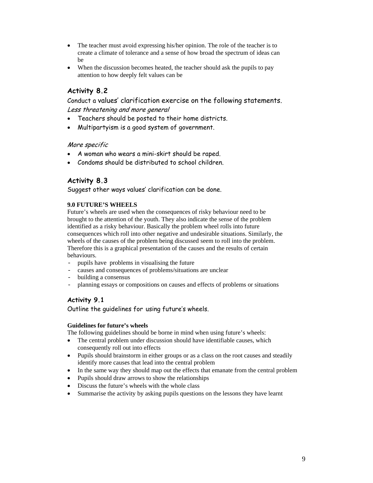- The teacher must avoid expressing his/her opinion. The role of the teacher is to create a climate of tolerance and a sense of how broad the spectrum of ideas can be
- When the discussion becomes heated, the teacher should ask the pupils to pay attention to how deeply felt values can be

## **Activity 8.2**

Conduct a values' clarification exercise on the following statements. Less threatening and more general

- Teachers should be posted to their home districts.
- Multipartyism is a good system of government.

#### More specific

- A woman who wears a mini-skirt should be raped.
- Condoms should be distributed to school children.

#### **Activity 8.3**

Suggest other ways values' clarification can be done.

#### **9.0 FUTURE'S WHEELS**

Future's wheels are used when the consequences of risky behaviour need to be brought to the attention of the youth. They also indicate the sense of the problem identified as a risky behaviour. Basically the problem wheel rolls into future consequences which roll into other negative and undesirable situations. Similarly, the wheels of the causes of the problem being discussed seem to roll into the problem. Therefore this is a graphical presentation of the causes and the results of certain behaviours.

- pupils have problems in visualising the future
- causes and consequences of problems/situations are unclear
- building a consensus
- planning essays or compositions on causes and effects of problems or situations

#### **Activity 9.1**

Outline the guidelines for using future's wheels.

#### **Guidelines for future's wheels**

The following guidelines should be borne in mind when using future's wheels:

- The central problem under discussion should have identifiable causes, which consequently roll out into effects
- Pupils should brainstorm in either groups or as a class on the root causes and steadily identify more causes that lead into the central problem
- In the same way they should map out the effects that emanate from the central problem
- Pupils should draw arrows to show the relationships
- Discuss the future's wheels with the whole class
- Summarise the activity by asking pupils questions on the lessons they have learnt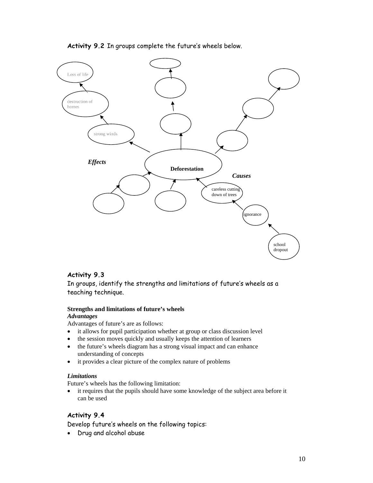#### **Activity 9.2** In groups complete the future's wheels below.



#### **Activity 9.3**

In groups, identify the strengths and limitations of future's wheels as a teaching technique.

#### **Strengths and limitations of future's wheels**  *Advantages*

Advantages of future's are as follows:

- it allows for pupil participation whether at group or class discussion level
- the session moves quickly and usually keeps the attention of learners
- the future's wheels diagram has a strong visual impact and can enhance understanding of concepts
- it provides a clear picture of the complex nature of problems

#### *Limitations*

Future's wheels has the following limitation:

• it requires that the pupils should have some knowledge of the subject area before it can be used

#### **Activity 9.4**

Develop future's wheels on the following topics:

• Drug and alcohol abuse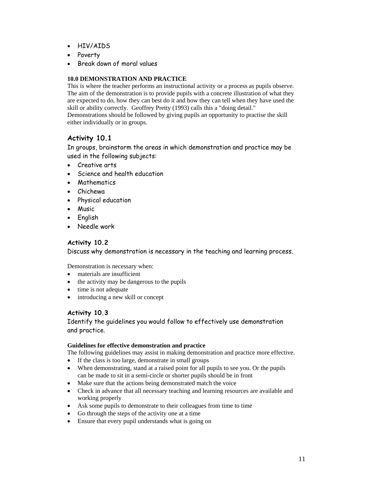- HIV/AIDS
- Poverty
- Break down of moral values

#### **10.0 DEMONSTRATION AND PRACTICE**

This is where the teacher performs an instructional activity or a process as pupils observe. The aim of the demonstration is to provide pupils with a concrete illustration of what they are expected to do, how they can best do it and how they can tell when they have used the skill or ability correctly. Geoffrey Pretty (1993) calls this a "doing detail."

Demonstrations should be followed by giving pupils an opportunity to practise the skill either individually or in groups.

## **Activity 10.1**

In groups, brainstorm the areas in which demonstration and practice may be used in the following subjects:

- Creative arts
- Science and health education
- Mathematics
- Chichewa
- Physical education
- Music
- English
- Needle work

#### **Activity 10.2**

Discuss why demonstration is necessary in the teaching and learning process.

Demonstration is necessary when:

- materials are insufficient
- the activity may be dangerous to the pupils
- time is not adequate
- introducing a new skill or concept

### **Activity 10.3**

Identify the guidelines you would follow to effectively use demonstration and practice.

#### **Guidelines for effective demonstration and practice**

The following guidelines may assist in making demonstration and practice more effective.

- If the class is too large, demonstrate in small groups
- When demonstrating, stand at a raised point for all pupils to see you. Or the pupils can be made to sit in a semi-circle or shorter pupils should be in front
- Make sure that the actions being demonstrated match the voice
- Check in advance that all necessary teaching and learning resources are available and working properly
- Ask some pupils to demonstrate to their colleagues from time to time
- Go through the steps of the activity one at a time
- Ensure that every pupil understands what is going on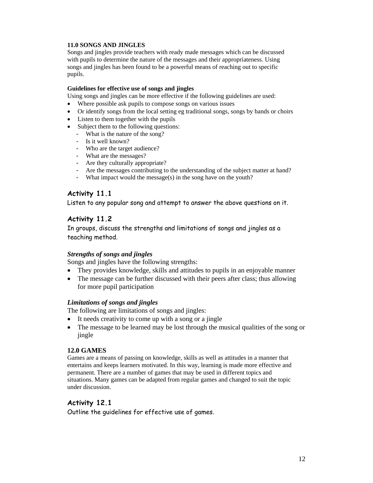#### **11.0 SONGS AND JINGLES**

Songs and jingles provide teachers with ready made messages which can be discussed with pupils to determine the nature of the messages and their appropriateness. Using songs and jingles has been found to be a powerful means of reaching out to specific pupils.

#### **Guidelines for effective use of songs and jingles**

Using songs and jingles can be more effective if the following guidelines are used:

- Where possible ask pupils to compose songs on various issues
- Or identify songs from the local setting eg traditional songs, songs by bands or choirs
- Listen to them together with the pupils
- Subject them to the following questions:
	- What is the nature of the song?
	- Is it well known?
	- Who are the target audience?
	- What are the messages?
	- Are they culturally appropriate?
	- Are the messages contributing to the understanding of the subject matter at hand?
	- What impact would the message(s) in the song have on the youth?

## **Activity 11.1**

Listen to any popular song and attempt to answer the above questions on it.

### **Activity 11.2**

In groups, discuss the strengths and limitations of songs and jingles as a teaching method.

#### *Strengths of songs and jingles*

Songs and jingles have the following strengths:

- They provides knowledge, skills and attitudes to pupils in an enjoyable manner
- The message can be further discussed with their peers after class; thus allowing for more pupil participation

#### *Limitations of songs and jingles*

The following are limitations of songs and jingles:

- It needs creativity to come up with a song or a jingle
- The message to be learned may be lost through the musical qualities of the song or jingle

#### **12.0 GAMES**

Games are a means of passing on knowledge, skills as well as attitudes in a manner that entertains and keeps learners motivated. In this way, learning is made more effective and permanent. There are a number of games that may be used in different topics and situations. Many games can be adapted from regular games and changed to suit the topic under discussion.

### **Activity 12.1**

Outline the guidelines for effective use of games.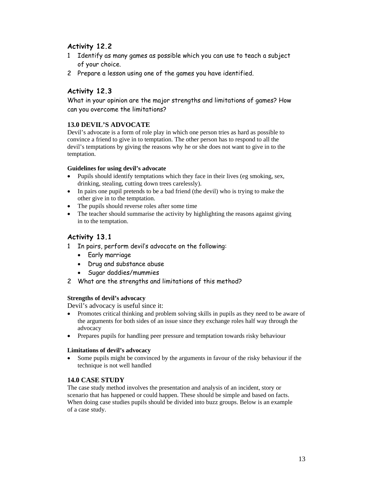## **Activity 12.2**

- 1 Identify as many games as possible which you can use to teach a subject of your choice.
- 2 Prepare a lesson using one of the games you have identified.

## **Activity 12.3**

What in your opinion are the major strengths and limitations of games? How can you overcome the limitations?

#### **13.0 DEVIL'S ADVOCATE**

Devil's advocate is a form of role play in which one person tries as hard as possible to convince a friend to give in to temptation. The other person has to respond to all the devil's temptations by giving the reasons why he or she does not want to give in to the temptation.

#### **Guidelines for using devil's advocate**

- Pupils should identify temptations which they face in their lives (eg smoking, sex, drinking, stealing, cutting down trees carelessly).
- In pairs one pupil pretends to be a bad friend (the devil) who is trying to make the other give in to the temptation.
- The pupils should reverse roles after some time
- The teacher should summarise the activity by highlighting the reasons against giving in to the temptation.

### **Activity 13.1**

- 1 In pairs, perform devil's advocate on the following:
	- Early marriage
	- Drug and substance abuse
	- Sugar daddies/mummies
- 2 What are the strengths and limitations of this method?

#### **Strengths of devil's advocacy**

Devil's advocacy is useful since it:

- Promotes critical thinking and problem solving skills in pupils as they need to be aware of the arguments for both sides of an issue since they exchange roles half way through the advocacy
- Prepares pupils for handling peer pressure and temptation towards risky behaviour

#### **Limitations of devil's advocacy**

• Some pupils might be convinced by the arguments in favour of the risky behaviour if the technique is not well handled

#### **14.0 CASE STUDY**

The case study method involves the presentation and analysis of an incident, story or scenario that has happened or could happen. These should be simple and based on facts. When doing case studies pupils should be divided into buzz groups. Below is an example of a case study.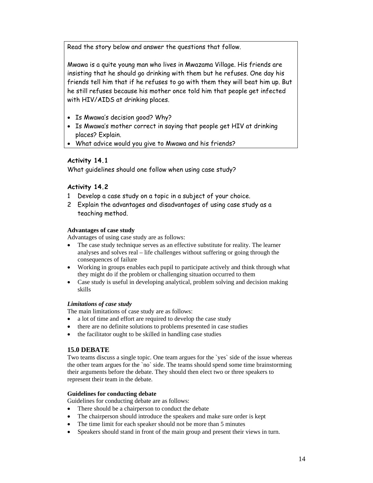Read the story below and answer the questions that follow.

Mwawa is a quite young man who lives in Mwazama Village. His friends are insisting that he should go drinking with them but he refuses. One day his friends tell him that if he refuses to go with them they will beat him up. But he still refuses because his mother once told him that people get infected with HIV/AIDS at drinking places.

- Is Mwawa's decision good? Why?
- Is Mwawa's mother correct in saying that people get HIV at drinking places? Explain.
- What advice would you give to Mwawa and his friends?

### **Activity 14.1**

What guidelines should one follow when using case study?

#### **Activity 14.2**

- 1 Develop a case study on a topic in a subject of your choice.
- 2 Explain the advantages and disadvantages of using case study as a teaching method.

#### **Advantages of case study**

Advantages of using case study are as follows:

- The case study technique serves as an effective substitute for reality. The learner analyses and solves real – life challenges without suffering or going through the consequences of failure
- Working in groups enables each pupil to participate actively and think through what they might do if the problem or challenging situation occurred to them
- Case study is useful in developing analytical, problem solving and decision making skills

#### *Limitations of case study*

The main limitations of case study are as follows:

- a lot of time and effort are required to develop the case study
- there are no definite solutions to problems presented in case studies
- the facilitator ought to be skilled in handling case studies

#### **15.0 DEBATE**

Two teams discuss a single topic. One team argues for the `yes` side of the issue whereas the other team argues for the `no` side. The teams should spend some time brainstorming their arguments before the debate. They should then elect two or three speakers to represent their team in the debate.

#### **Guidelines for conducting debate**

Guidelines for conducting debate are as follows:

- There should be a chairperson to conduct the debate
- The chairperson should introduce the speakers and make sure order is kept
- The time limit for each speaker should not be more than 5 minutes
- Speakers should stand in front of the main group and present their views in turn.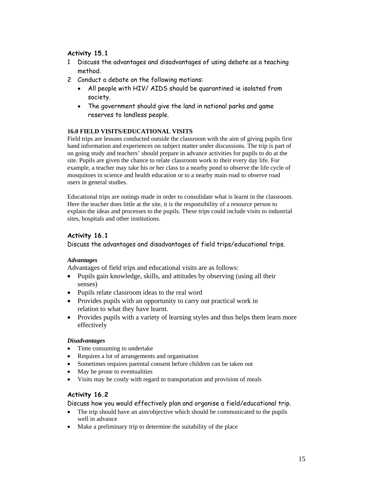## **Activity 15.1**

- 1 Discuss the advantages and disadvantages of using debate as a teaching method.
- 2 Conduct a debate on the following motions:
	- All people with HIV/ AIDS should be quarantined ie isolated from society.
	- The government should give the land in national parks and game reserves to landless people.

#### **16.0 FIELD VISITS/EDUCATIONAL VISITS**

Field trips are lessons conducted outside the classroom with the aim of giving pupils first hand information and experiences on subject matter under discussions. The trip is part of on going study and teachers' should prepare in advance activities for pupils to do at the site. Pupils are given the chance to relate classroom work to their every day life. For example, a teacher may take his or her class to a nearby pond to observe the life cycle of mosquitoes in science and health education or to a nearby main road to observe road users in general studies.

Educational trips are outings made in order to consolidate what is learnt in the classroom. Here the teacher does little at the site, it is the responsibility of a resource person to explain the ideas and processes to the pupils. These trips could include visits to industrial sites, hospitals and other institutions.

### **Activity 16.1**

Discuss the advantages and disadvantages of field trips/educational trips.

#### *Advantages*

Advantages of field trips and educational visits are as follows:

- Pupils gain knowledge, skills, and attitudes by observing (using all their senses)
- Pupils relate classroom ideas to the real word
- Provides pupils with an opportunity to carry out practical work in relation to what they have learnt.
- Provides pupils with a variety of learning styles and thus helps them learn more effectively

#### *Disadvantages*

- Time consuming to undertake
- Requires a lot of arrangements and organisation
- Sometimes requires parental consent before children can be taken out
- May be prone to eventualities
- Visits may be costly with regard to transportation and provision of meals

### **Activity 16.2**

Discuss how you would effectively plan and organise a field/educational trip.

- The trip should have an aim/objective which should be communicated to the pupils well in advance
- Make a preliminary trip to determine the suitability of the place